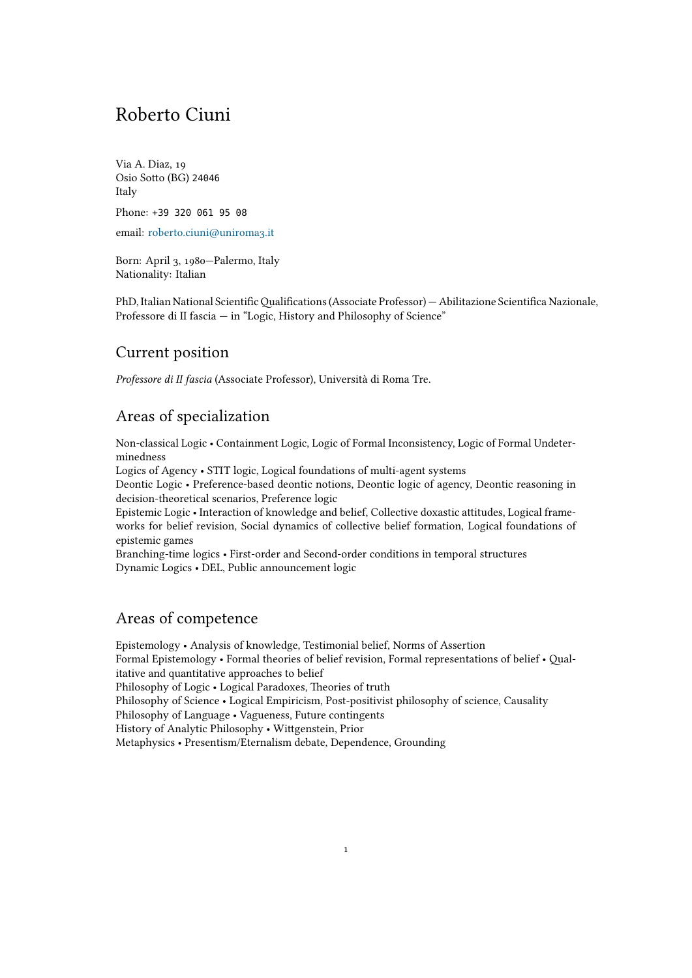# Roberto Ciuni

Via A. Diaz, 19 Osio Sotto (BG) 24046 Italy

Phone: +39 320 061 95 08

email: roberto.ciuni@uniroma3.it

Born: April 3, 1980—Palermo, Italy Nationality: Italian

PhD, Italian National Scientific Qualifications (Associate Professor) — Abilitazione Scientifica Nazionale, Professore di II fascia — in "Logic, History and Philosophy of Science"

### Current position

*Professore di II fascia* (Associate Professor), Università di Roma Tre.

# Areas of specialization

Non-classical Logic • Containment Logic, Logic of Formal Inconsistency, Logic of Formal Undeterminedness

Logics of Agency • STIT logic, Logical foundations of multi-agent systems

Deontic Logic • Preference-based deontic notions, Deontic logic of agency, Deontic reasoning in decision-theoretical scenarios, Preference logic

Epistemic Logic • Interaction of knowledge and belief, Collective doxastic attitudes, Logical frameworks for belief revision, Social dynamics of collective belief formation, Logical foundations of epistemic games

Branching-time logics • First-order and Second-order conditions in temporal structures Dynamic Logics • DEL, Public announcement logic

# Areas of competence

Epistemology • Analysis of knowledge, Testimonial belief, Norms of Assertion Formal Epistemology • Formal theories of belief revision, Formal representations of belief • Qualitative and quantitative approaches to belief Philosophy of Logic • Logical Paradoxes, Theories of truth Philosophy of Science • Logical Empiricism, Post-positivist philosophy of science, Causality Philosophy of Language • Vagueness, Future contingents History of Analytic Philosophy • Wittgenstein, Prior Metaphysics • Presentism/Eternalism debate, Dependence, Grounding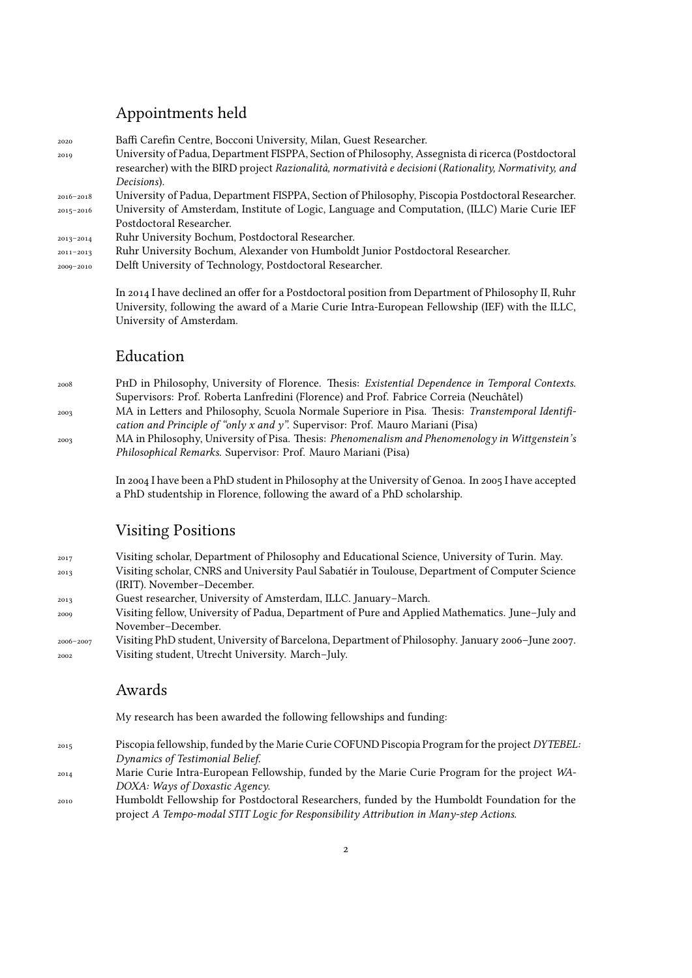# Appointments held

| 2020          | Baffi Carefin Centre, Bocconi University, Milan, Guest Researcher.                                    |
|---------------|-------------------------------------------------------------------------------------------------------|
| 2019          | University of Padua, Department FISPPA, Section of Philosophy, Assegnista di ricerca (Postdoctoral    |
|               | researcher) with the BIRD project Razionalità, normatività e decisioni (Rationality, Normativity, and |
|               | Decisions).                                                                                           |
| 2016-2018     | University of Padua, Department FISPPA, Section of Philosophy, Piscopia Postdoctoral Researcher.      |
| 2015-2016     | University of Amsterdam, Institute of Logic, Language and Computation, (ILLC) Marie Curie IEF         |
|               | Postdoctoral Researcher.                                                                              |
| 2013-2014     | Ruhr University Bochum, Postdoctoral Researcher.                                                      |
| $2011 - 2013$ | Ruhr University Bochum, Alexander von Humboldt Junior Postdoctoral Researcher.                        |
| 2009-2010     | Delft University of Technology, Postdoctoral Researcher.                                              |
|               |                                                                                                       |

In 2014 I have declined an offer for a Postdoctoral position from Department of Philosophy II, Ruhr University, following the award of a Marie Curie Intra-European Fellowship (IEF) with the ILLC, University of Amsterdam.

# Education

- <sup>2008</sup> PhD in Philosophy, University of Florence. Thesis: *Existential Dependence in Temporal Contexts.* Supervisors: Prof. Roberta Lanfredini (Florence) and Prof. Fabrice Correia (Neuchâtel)
- 2003 MA in Letters and Philosophy, Scuola Normale Superiore in Pisa. Thesis: *Transtemporal Identification and Principle of "only x and y".* Supervisor: Prof. Mauro Mariani (Pisa)
- 2003 MA in Philosophy, University of Pisa. Thesis: *Phenomenalism and Phenomenology in Wittgenstein's Philosophical Remarks.* Supervisor: Prof. Mauro Mariani (Pisa)

In 2004 I have been a PhD student in Philosophy at the University of Genoa. In 2005 I have accepted a PhD studentship in Florence, following the award of a PhD scholarship.

# Visiting Positions

- 2017 Visiting scholar, Department of Philosophy and Educational Science, University of Turin. May.
- 2013 Visiting scholar, CNRS and University Paul Sabatiér in Toulouse, Department of Computer Science (IRIT). November–December.
- 2013 Guest researcher, University of Amsterdam, ILLC. January–March.
- 2009 Visiting fellow, University of Padua, Department of Pure and Applied Mathematics. June–July and November–December.
- 2006–2007 Visiting PhD student, University of Barcelona, Department of Philosophy. January 2006–June 2007. 2002 Visiting student, Utrecht University. March–July.

# Awards

My research has been awarded the following fellowships and funding:

- <sup>2015</sup> Piscopia fellowship, funded by the Marie Curie COFUND Piscopia Program for the project *DYTEBEL: Dynamics of Testimonial Belief*.
- <sup>2014</sup> Marie Curie Intra-European Fellowship, funded by the Marie Curie Program for the project *WA-DOXA: Ways of Doxastic Agency*.
- <sup>2010</sup> Humboldt Fellowship for Postdoctoral Researchers, funded by the Humboldt Foundation for the project *A Tempo-modal STIT Logic for Responsibility Attribution in Many-step Actions*.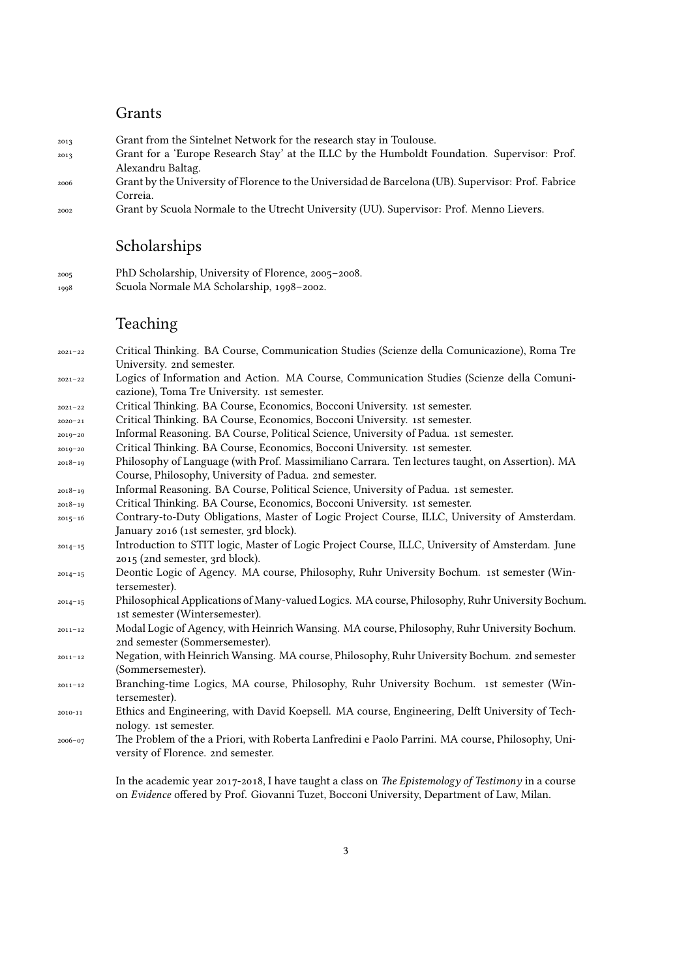### Grants

- <sup>2013</sup> Grant from the Sintelnet Network for the research stay in Toulouse.
- <sup>2013</sup> Grant for a 'Europe Research Stay' at the ILLC by the Humboldt Foundation. Supervisor: Prof. Alexandru Baltag.
- <sup>2006</sup> Grant by the University of Florence to the Universidad de Barcelona (UB). Supervisor: Prof. Fabrice Correia.
- <sup>2002</sup> Grant by Scuola Normale to the Utrecht University (UU). Supervisor: Prof. Menno Lievers.

### Scholarships

- <sup>2005</sup> PhD Scholarship, University of Florence, 2005–2008.
- <sup>1998</sup> Scuola Normale MA Scholarship, 1998–2002.

### Teaching

- 2021–22 Critical Thinking. BA Course, Communication Studies (Scienze della Comunicazione), Roma Tre University. 2nd semester.
- 2021–22 Logics of Information and Action. MA Course, Communication Studies (Scienze della Comunicazione), Toma Tre University. 1st semester.
- 2021–22 Critical Thinking. BA Course, Economics, Bocconi University. 1st semester.
- 2020–21 Critical Thinking. BA Course, Economics, Bocconi University. 1st semester.
- 2019–20 Informal Reasoning. BA Course, Political Science, University of Padua. 1st semester.
- 2019–20 Critical Thinking. BA Course, Economics, Bocconi University. 1st semester.
- 2018–19 Philosophy of Language (with Prof. Massimiliano Carrara. Ten lectures taught, on Assertion). MA Course, Philosophy, University of Padua. 2nd semester.
- 2018–19 Informal Reasoning. BA Course, Political Science, University of Padua. 1st semester.
- 2018–19 Critical Thinking. BA Course, Economics, Bocconi University. 1st semester.
- 2015–16 Contrary-to-Duty Obligations, Master of Logic Project Course, ILLC, University of Amsterdam. January 2016 (1st semester, 3rd block).
- 2014–15 Introduction to STIT logic, Master of Logic Project Course, ILLC, University of Amsterdam. June 2015 (2nd semester, 3rd block).
- 2014–15 Deontic Logic of Agency. MA course, Philosophy, Ruhr University Bochum. 1st semester (Wintersemester).
- 2014–15 Philosophical Applications of Many-valued Logics. MA course, Philosophy, Ruhr University Bochum. 1st semester (Wintersemester).
- 2011–12 Modal Logic of Agency, with Heinrich Wansing. MA course, Philosophy, Ruhr University Bochum. 2nd semester (Sommersemester).
- 2011–12 Negation, with Heinrich Wansing. MA course, Philosophy, Ruhr University Bochum. 2nd semester (Sommersemester).
- 2011–12 Branching-time Logics, MA course, Philosophy, Ruhr University Bochum. 1st semester (Wintersemester).
- 2010-11 Ethics and Engineering, with David Koepsell. MA course, Engineering, Delft University of Technology. 1st semester.
- 2006–07 The Problem of the a Priori, with Roberta Lanfredini e Paolo Parrini. MA course, Philosophy, University of Florence. 2nd semester.

In the academic year 2017-2018, I have taught a class on *The Epistemology of Testimony* in a course on *Evidence* offered by Prof. Giovanni Tuzet, Bocconi University, Department of Law, Milan.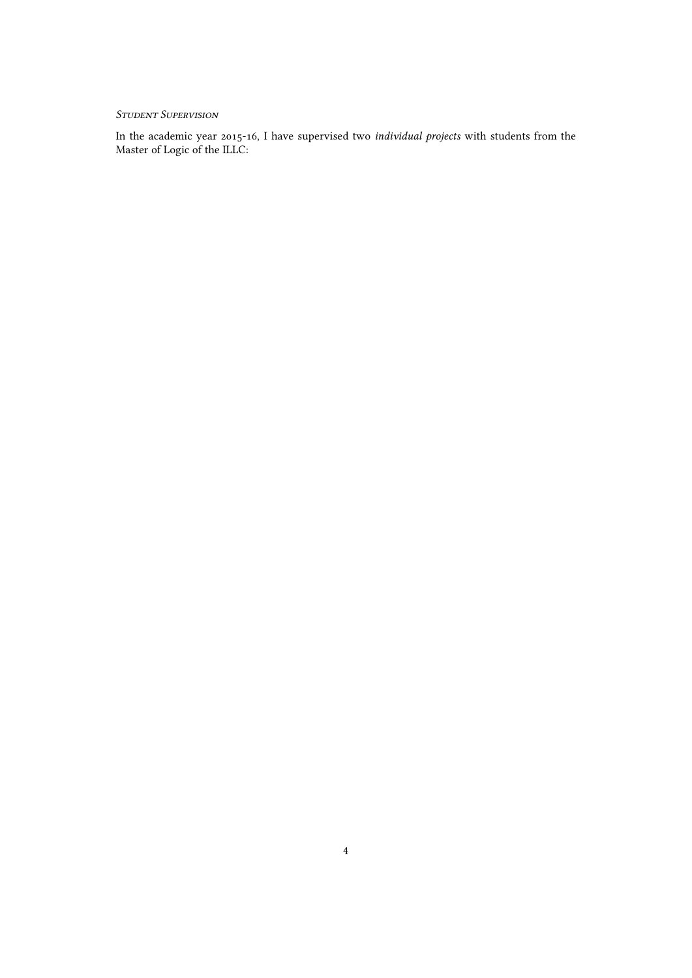### *Student SupeRvision*

In the academic year 2015-16, I have supervised two *individual projects* with students from the Master of Logic of the ILLC: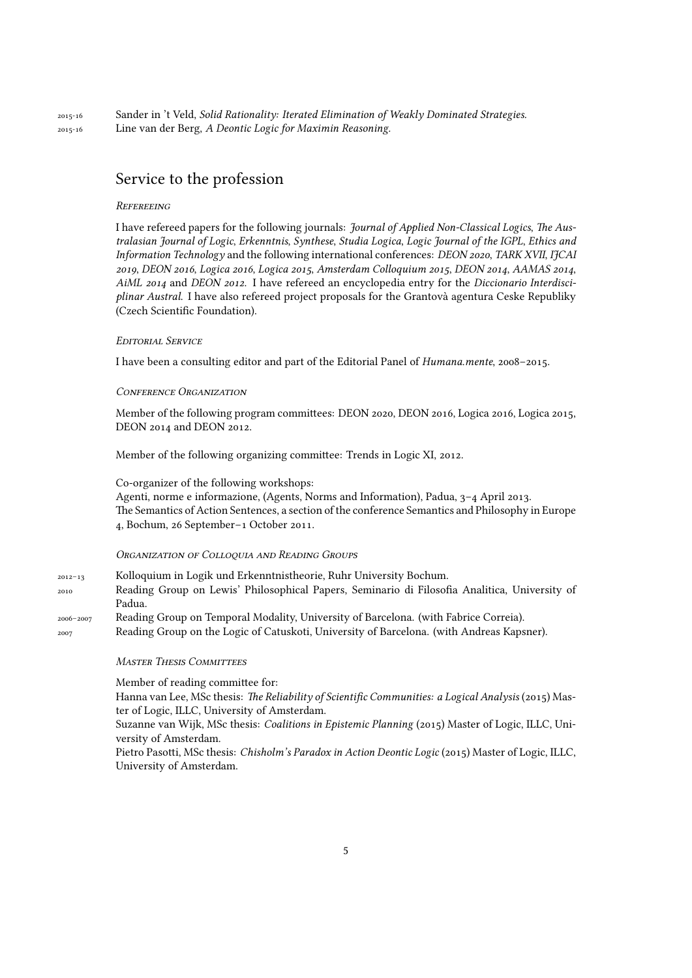2015-16 Sander in 't Veld, *Solid Rationality: Iterated Elimination of Weakly Dominated Strategies.* 2015-16 Line van der Berg, *A Deontic Logic for Maximin Reasoning.*

### Service to the profession

#### *RefeReeing*

I have refereed papers for the following journals: *Journal of Applied Non-Classical Logics*, *The Australasian Journal of Logic*, *Erkenntnis*, *Synthese*, *Studia Logica*, *Logic Journal of the IGPL*, *Ethics and Information Technology* and the following international conferences: *DEON 2020*, *TARK XVII*, *IJCAI 2019*, *DEON 2016*, *Logica 2016*, *Logica 2015*, *Amsterdam Colloquium 2015*, *DEON 2014*, *AAMAS 2014*, *AiML 2014* and *DEON 2012*. I have refereed an encyclopedia entry for the *Diccionario Interdisciplinar Austral*. I have also refereed project proposals for the Grantovà agentura Ceske Republiky (Czech Scientific Foundation).

#### *EditoRial SeRvice*

I have been a consulting editor and part of the Editorial Panel of *Humana.mente*, 2008–2015.

#### *ConfeRence ORganization*

Member of the following program committees: DEON 2020, DEON 2016, Logica 2016, Logica 2015, DEON 2014 and DEON 2012.

Member of the following organizing committee: Trends in Logic XI, 2012.

#### Co-organizer of the following workshops:

Agenti, norme e informazione, (Agents, Norms and Information), Padua, 3–4 April 2013. The Semantics of Action Sentences, a section of the conference Semantics and Philosophy in Europe 4, Bochum, 26 September–1 October 2011.

#### *ORganization of Colloquia and Reading GRoups*

2012–13 Kolloquium in Logik und Erkenntnistheorie, Ruhr University Bochum. 2010 Reading Group on Lewis' Philosophical Papers, Seminario di Filosofia Analitica, University of Padua. 2006–2007 Reading Group on Temporal Modality, University of Barcelona. (with Fabrice Correia).

2007 Reading Group on the Logic of Catuskoti, University of Barcelona. (with Andreas Kapsner).

#### *MasteR Thesis Committees*

Member of reading committee for:

Hanna van Lee, MSc thesis: *The Reliability of Scientific Communities: a Logical Analysis* (2015) Master of Logic, ILLC, University of Amsterdam.

Suzanne van Wijk, MSc thesis: *Coalitions in Epistemic Planning* (2015) Master of Logic, ILLC, University of Amsterdam.

Pietro Pasotti, MSc thesis: *Chisholm's Paradox in Action Deontic Logic* (2015) Master of Logic, ILLC, University of Amsterdam.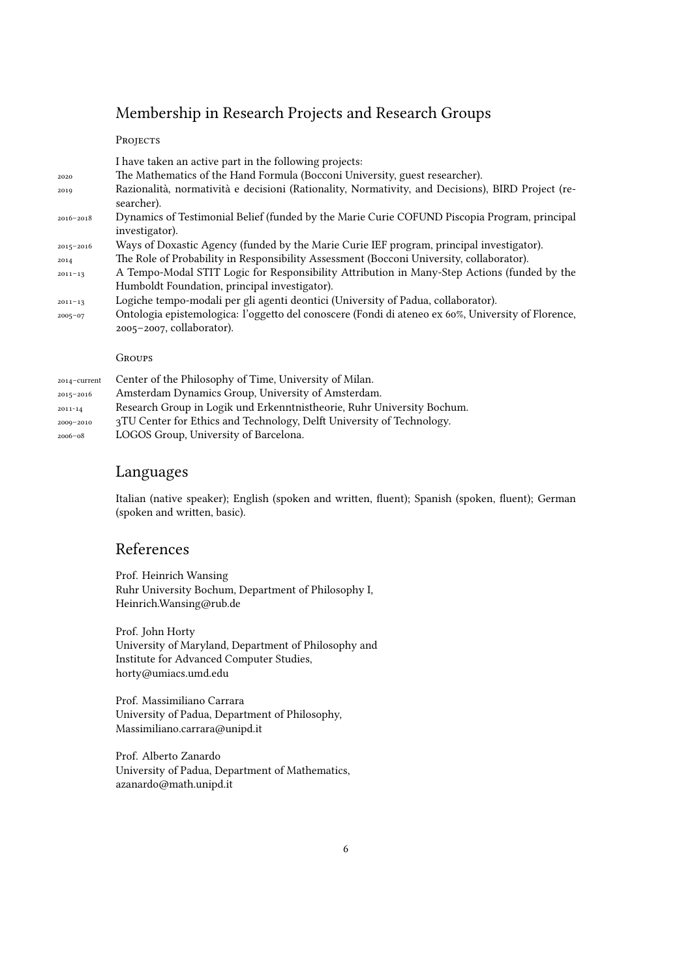# Membership in Research Projects and Research Groups

#### PROJECTS

|               | I have taken an active part in the following projects:                                             |
|---------------|----------------------------------------------------------------------------------------------------|
| 2020          | The Mathematics of the Hand Formula (Bocconi University, guest researcher).                        |
| 2019          | Razionalità, normatività e decisioni (Rationality, Normativity, and Decisions), BIRD Project (re-  |
|               | searcher).                                                                                         |
| 2016-2018     | Dynamics of Testimonial Belief (funded by the Marie Curie COFUND Piscopia Program, principal       |
|               | investigator).                                                                                     |
| $2015 - 2016$ | Ways of Doxastic Agency (funded by the Marie Curie IEF program, principal investigator).           |
| 2014          | The Role of Probability in Responsibility Assessment (Bocconi University, collaborator).           |
| $2011 - 13$   | A Tempo-Modal STIT Logic for Responsibility Attribution in Many-Step Actions (funded by the        |
|               | Humboldt Foundation, principal investigator).                                                      |
| $2011 - 13$   | Logiche tempo-modali per gli agenti deontici (University of Padua, collaborator).                  |
| $2005 - 07$   | Ontologia epistemologica: l'oggetto del conoscere (Fondi di ateneo ex 60%, University of Florence, |
|               | $2005 - 2007$ , collaborator).                                                                     |
|               |                                                                                                    |
|               | <b>GROUPS</b>                                                                                      |
|               |                                                                                                    |

2014–current Center of the Philosophy of Time, University of Milan. 2015–2016 Amsterdam Dynamics Group, University of Amsterdam. 2011-14 Research Group in Logik und Erkenntnistheorie, Ruhr University Bochum. 2009–2010 3TU Center for Ethics and Technology, Delft University of Technology. 2006–08 LOGOS Group, University of Barcelona.

### Languages

Italian (native speaker); English (spoken and written, fluent); Spanish (spoken, fluent); German (spoken and written, basic).

### References

Prof. Heinrich Wansing Ruhr University Bochum, Department of Philosophy I, Heinrich.Wansing@rub.de

Prof. John Horty University of Maryland, Department of Philosophy and Institute for Advanced Computer Studies, horty@umiacs.umd.edu

Prof. Massimiliano Carrara University of Padua, Department of Philosophy, Massimiliano.carrara@unipd.it

Prof. Alberto Zanardo University of Padua, Department of Mathematics, azanardo@math.unipd.it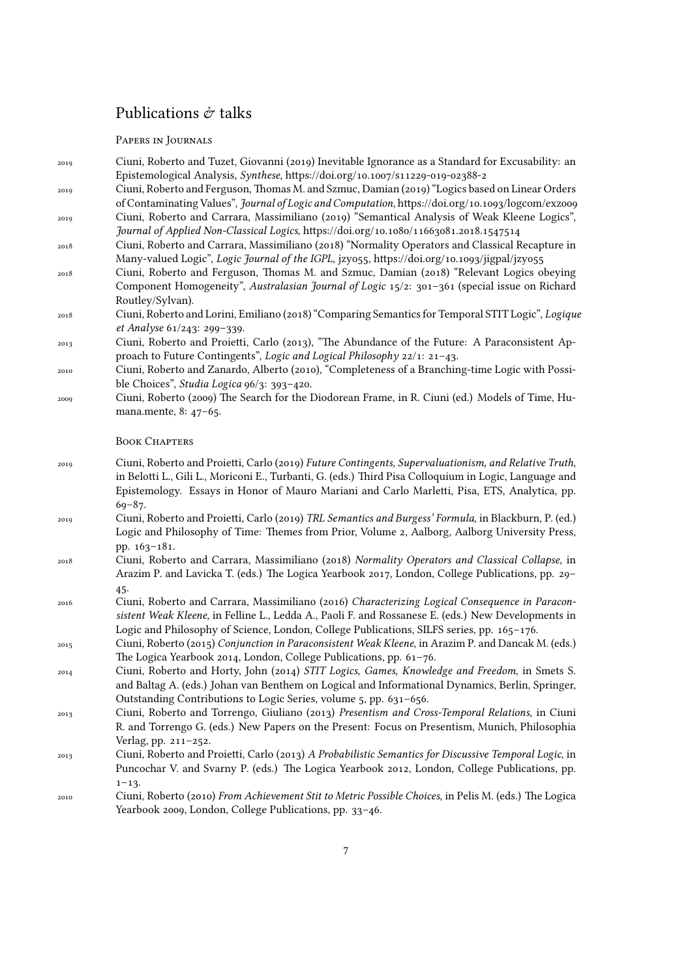# Publications  $\dot{\mathcal{C}}$  talks

### PAPERS IN JOURNALS

| 2019       | Ciuni, Roberto and Tuzet, Giovanni (2019) Inevitable Ignorance as a Standard for Excusability: an<br>Epistemological Analysis, Synthese, https://doi.org/10.1007/s11229-019-02388-2                                                                                                                                         |
|------------|-----------------------------------------------------------------------------------------------------------------------------------------------------------------------------------------------------------------------------------------------------------------------------------------------------------------------------|
| 2019       | Ciuni, Roberto and Ferguson, Thomas M. and Szmuc, Damian (2019) "Logics based on Linear Orders<br>of Contaminating Values", Journal of Logic and Computation, https://doi.org/10.1093/logcom/exzoo9                                                                                                                         |
| 2019       | Ciuni, Roberto and Carrara, Massimiliano (2019) "Semantical Analysis of Weak Kleene Logics",<br>Journal of Applied Non-Classical Logics, https://doi.org/10.1080/11663081.2018.1547514                                                                                                                                      |
| 2018       | Ciuni, Roberto and Carrara, Massimiliano (2018) "Normality Operators and Classical Recapture in<br>Many-valued Logic", Logic Journal of the IGPL, jzyo55, https://doi.org/10.1093/jigpal/jzyo55                                                                                                                             |
| 2018       | Ciuni, Roberto and Ferguson, Thomas M. and Szmuc, Damian (2018) "Relevant Logics obeying<br>Component Homogeneity", Australasian Journal of Logic 15/2: 301-361 (special issue on Richard<br>Routley/Sylvan).                                                                                                               |
| 2018       | Ciuni, Roberto and Lorini, Emiliano (2018) "Comparing Semantics for Temporal STIT Logic", Logique<br>et Analyse 61/243: 299-339.                                                                                                                                                                                            |
| 2013       | Ciuni, Roberto and Proietti, Carlo (2013), "The Abundance of the Future: A Paraconsistent Ap-<br>proach to Future Contingents", Logic and Logical Philosophy 22/1: 21-43.                                                                                                                                                   |
| 2010       | Ciuni, Roberto and Zanardo, Alberto (2010), "Completeness of a Branching-time Logic with Possi-<br>ble Choices", Studia Logica 96/3: 393-420.                                                                                                                                                                               |
| 2009       | Ciuni, Roberto (2009) The Search for the Diodorean Frame, in R. Ciuni (ed.) Models of Time, Hu-<br>mana.mente, 8: 47-65.                                                                                                                                                                                                    |
|            | <b>BOOK CHAPTERS</b>                                                                                                                                                                                                                                                                                                        |
| 2019       | Ciuni, Roberto and Proietti, Carlo (2019) Future Contingents, Supervaluationism, and Relative Truth,<br>in Belotti L., Gili L., Moriconi E., Turbanti, G. (eds.) Third Pisa Colloquium in Logic, Language and<br>Epistemology. Essays in Honor of Mauro Mariani and Carlo Marletti, Pisa, ETS, Analytica, pp.<br>$69 - 87.$ |
| 2019       | Ciuni, Roberto and Proietti, Carlo (2019) TRL Semantics and Burgess' Formula, in Blackburn, P. (ed.)<br>Logic and Philosophy of Time: Themes from Prior, Volume 2, Aalborg, Aalborg University Press,                                                                                                                       |
| 2018       | pp. 163-181.<br>Ciuni, Roberto and Carrara, Massimiliano (2018) Normality Operators and Classical Collapse, in<br>Arazim P. and Lavicka T. (eds.) The Logica Yearbook 2017, London, College Publications, pp. 29-                                                                                                           |
| 2016       | 45.<br>Ciuni, Roberto and Carrara, Massimiliano (2016) Characterizing Logical Consequence in Paracon-<br>sistent Weak Kleene, in Felline L., Ledda A., Paoli F. and Rossanese E. (eds.) New Developments in<br>Logic and Philosophy of Science, London, College Publications, SILFS series, pp. 165-176.                    |
| 2015       | Ciuni, Roberto (2015) Conjunction in Paraconsistent Weak Kleene, in Arazim P. and Dancak M. (eds.)<br>The Logica Yearbook 2014, London, College Publications, pp. 61-76.                                                                                                                                                    |
| $\bf 2014$ | Ciuni, Roberto and Horty, John (2014) STIT Logics, Games, Knowledge and Freedom, in Smets S.<br>and Baltag A. (eds.) Johan van Benthem on Logical and Informational Dynamics, Berlin, Springer,<br>Outstanding Contributions to Logic Series, volume 5, pp. 631-656.                                                        |
| 2013       | Ciuni, Roberto and Torrengo, Giuliano (2013) Presentism and Cross-Temporal Relations, in Ciuni<br>R. and Torrengo G. (eds.) New Papers on the Present: Focus on Presentism, Munich, Philosophia<br>Verlag, pp. 211-252.                                                                                                     |
| 2013       | Ciuni, Roberto and Proietti, Carlo (2013) A Probabilistic Semantics for Discussive Temporal Logic, in<br>Puncochar V. and Svarny P. (eds.) The Logica Yearbook 2012, London, College Publications, pp.                                                                                                                      |
| 2010       | $1 - 13.$<br>Ciuni, Roberto (2010) From Achievement Stit to Metric Possible Choices, in Pelis M. (eds.) The Logica<br>Yearbook 2009, London, College Publications, pp. 33-46.                                                                                                                                               |
|            |                                                                                                                                                                                                                                                                                                                             |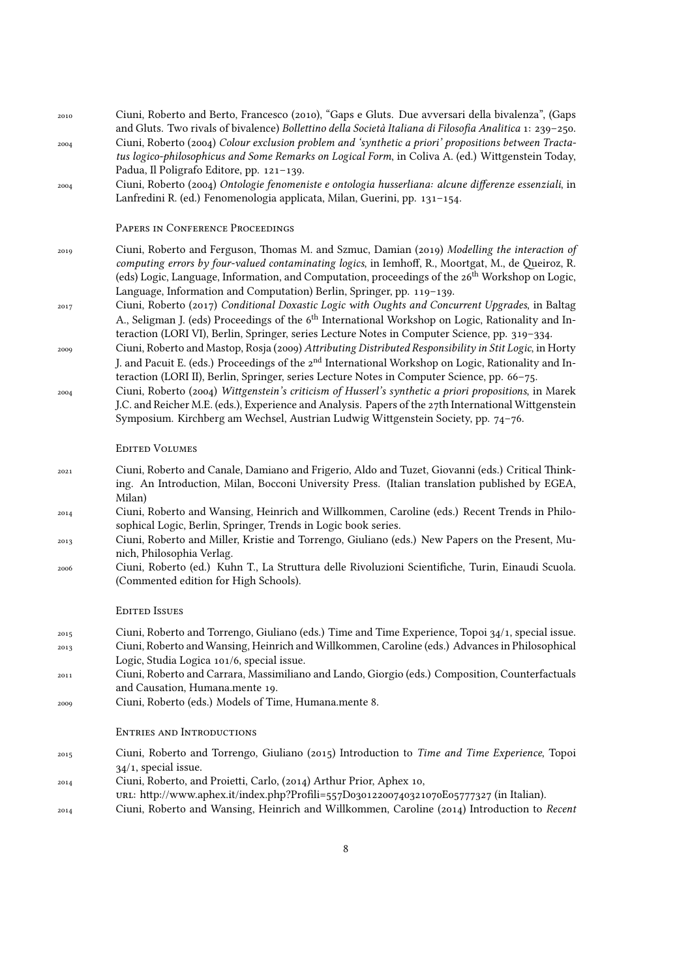| 2010<br>2004 | Ciuni, Roberto and Berto, Francesco (2010), "Gaps e Gluts. Due avversari della bivalenza", (Gaps<br>and Gluts. Two rivals of bivalence) Bollettino della Società Italiana di Filosofia Analitica 1: 239-250.<br>Ciuni, Roberto (2004) Colour exclusion problem and 'synthetic a priori' propositions between Tracta-<br>tus logico-philosophicus and Some Remarks on Logical Form, in Coliva A. (ed.) Wittgenstein Today, |
|--------------|---------------------------------------------------------------------------------------------------------------------------------------------------------------------------------------------------------------------------------------------------------------------------------------------------------------------------------------------------------------------------------------------------------------------------|
| 2004         | Padua, Il Poligrafo Editore, pp. 121-139.<br>Ciuni, Roberto (2004) Ontologie fenomeniste e ontologia husserliana: alcune differenze essenziali, in<br>Lanfredini R. (ed.) Fenomenologia applicata, Milan, Guerini, pp. 131-154.                                                                                                                                                                                           |
|              | PAPERS IN CONFERENCE PROCEEDINGS                                                                                                                                                                                                                                                                                                                                                                                          |
| 2019         | Ciuni, Roberto and Ferguson, Thomas M. and Szmuc, Damian (2019) Modelling the interaction of<br>computing errors by four-valued contaminating logics, in Iemhoff, R., Moortgat, M., de Queiroz, R.<br>(eds) Logic, Language, Information, and Computation, proceedings of the 26 <sup>th</sup> Workshop on Logic,<br>Language, Information and Computation) Berlin, Springer, pp. 119-139.                                |
| 2017         | Ciuni, Roberto (2017) Conditional Doxastic Logic with Oughts and Concurrent Upgrades, in Baltag<br>A., Seligman J. (eds) Proceedings of the 6 <sup>th</sup> International Workshop on Logic, Rationality and In-<br>teraction (LORI VI), Berlin, Springer, series Lecture Notes in Computer Science, pp. 319-334.                                                                                                         |
| 2009         | Ciuni, Roberto and Mastop, Rosja (2009) Attributing Distributed Responsibility in Stit Logic, in Horty<br>J. and Pacuit E. (eds.) Proceedings of the 2 <sup>nd</sup> International Workshop on Logic, Rationality and In-<br>teraction (LORI II), Berlin, Springer, series Lecture Notes in Computer Science, pp. 66-75.                                                                                                  |
| 2004         | Ciuni, Roberto (2004) Wittgenstein's criticism of Husserl's synthetic a priori propositions, in Marek<br>J.C. and Reicher M.E. (eds.), Experience and Analysis. Papers of the 27th International Wittgenstein<br>Symposium. Kirchberg am Wechsel, Austrian Ludwig Wittgenstein Society, pp. 74-76.                                                                                                                        |
|              | <b>EDITED VOLUMES</b>                                                                                                                                                                                                                                                                                                                                                                                                     |
| 2021         | Ciuni, Roberto and Canale, Damiano and Frigerio, Aldo and Tuzet, Giovanni (eds.) Critical Think-<br>ing. An Introduction, Milan, Bocconi University Press. (Italian translation published by EGEA,<br>Milan)                                                                                                                                                                                                              |
| 2014         | Ciuni, Roberto and Wansing, Heinrich and Willkommen, Caroline (eds.) Recent Trends in Philo-<br>sophical Logic, Berlin, Springer, Trends in Logic book series.                                                                                                                                                                                                                                                            |
| 2013         | Ciuni, Roberto and Miller, Kristie and Torrengo, Giuliano (eds.) New Papers on the Present, Mu-<br>nich, Philosophia Verlag.                                                                                                                                                                                                                                                                                              |
| 2006         | Ciuni, Roberto (ed.) Kuhn T., La Struttura delle Rivoluzioni Scientifiche, Turin, Einaudi Scuola.<br>(Commented edition for High Schools).                                                                                                                                                                                                                                                                                |
|              | <b>EDITED ISSUES</b>                                                                                                                                                                                                                                                                                                                                                                                                      |
| 2015         | Ciuni, Roberto and Torrengo, Giuliano (eds.) Time and Time Experience, Topoi 34/1, special issue.<br>Ciuni, Roberto and Wansing, Heinrich and Willkommen, Caroline (eds.) Advances in Philosophical                                                                                                                                                                                                                       |
| 2013         | Logic, Studia Logica 101/6, special issue.                                                                                                                                                                                                                                                                                                                                                                                |
| 2011         | Ciuni, Roberto and Carrara, Massimiliano and Lando, Giorgio (eds.) Composition, Counterfactuals<br>and Causation, Humana.mente 19.                                                                                                                                                                                                                                                                                        |
| 2009         | Ciuni, Roberto (eds.) Models of Time, Humana.mente 8.                                                                                                                                                                                                                                                                                                                                                                     |
|              | <b>ENTRIES AND INTRODUCTIONS</b>                                                                                                                                                                                                                                                                                                                                                                                          |
| 2015         | Ciuni, Roberto and Torrengo, Giuliano (2015) Introduction to Time and Time Experience, Topoi<br>$34/1$ , special issue.                                                                                                                                                                                                                                                                                                   |
| 2014         | Ciuni, Roberto, and Proietti, Carlo, (2014) Arthur Prior, Aphex 10,<br>ur. http://www.aphex.it/index.php?Profili=557D03012200740321070E05777327 (in Italian).                                                                                                                                                                                                                                                             |
| 2014         | Ciuni, Roberto and Wansing, Heinrich and Willkommen, Caroline (2014) Introduction to Recent                                                                                                                                                                                                                                                                                                                               |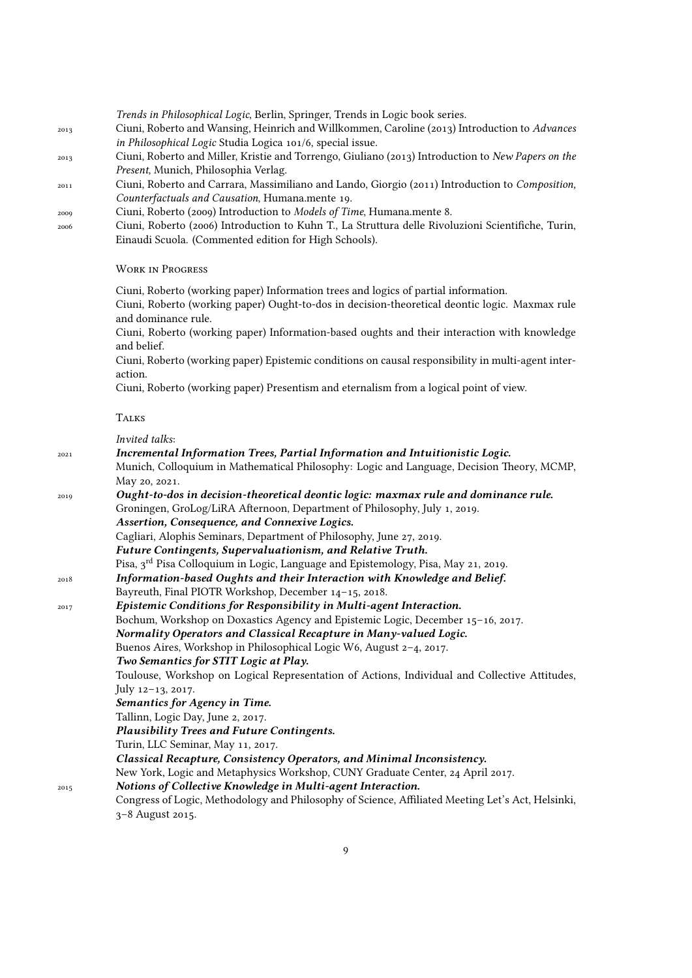*Trends in Philosophical Logic*, Berlin, Springer, Trends in Logic book series.

- <sup>2013</sup> Ciuni, Roberto and Wansing, Heinrich and Willkommen, Caroline (2013) Introduction to *Advances in Philosophical Logic* Studia Logica 101/6, special issue.
- <sup>2013</sup> Ciuni, Roberto and Miller, Kristie and Torrengo, Giuliano (2013) Introduction to *New Papers on the Present*, Munich, Philosophia Verlag.
- <sup>2011</sup> Ciuni, Roberto and Carrara, Massimiliano and Lando, Giorgio (2011) Introduction to *Composition, Counterfactuals and Causation*, Humana.mente 19.
- <sup>2009</sup> Ciuni, Roberto (2009) Introduction to *Models of Time*, Humana.mente 8.
- <sup>2006</sup> Ciuni, Roberto (2006) Introduction to Kuhn T., La Struttura delle Rivoluzioni Scientifiche, Turin, Einaudi Scuola. (Commented edition for High Schools).

#### WoRK in PRogRess

Ciuni, Roberto (working paper) Information trees and logics of partial information.

Ciuni, Roberto (working paper) Ought-to-dos in decision-theoretical deontic logic. Maxmax rule and dominance rule.

Ciuni, Roberto (working paper) Information-based oughts and their interaction with knowledge and belief.

Ciuni, Roberto (working paper) Epistemic conditions on causal responsibility in multi-agent interaction.

Ciuni, Roberto (working paper) Presentism and eternalism from a logical point of view.

### **TALKS**

*Invited talks*:

| 2021 | Incremental Information Trees, Partial Information and Intuitionistic Logic.                      |
|------|---------------------------------------------------------------------------------------------------|
|      | Munich, Colloquium in Mathematical Philosophy: Logic and Language, Decision Theory, MCMP,         |
|      | May 20, 2021.                                                                                     |
| 2019 | Ought-to-dos in decision-theoretical deontic logic: maxmax rule and dominance rule.               |
|      | Groningen, GroLog/LiRA Afternoon, Department of Philosophy, July 1, 2019.                         |
|      | Assertion, Consequence, and Connexive Logics.                                                     |
|      | Cagliari, Alophis Seminars, Department of Philosophy, June 27, 2019.                              |
|      | Future Contingents, Supervaluationism, and Relative Truth.                                        |
|      | Pisa, 3 <sup>rd</sup> Pisa Colloquium in Logic, Language and Epistemology, Pisa, May 21, 2019.    |
| 2018 | Information-based Oughts and their Interaction with Knowledge and Belief.                         |
|      | Bayreuth, Final PIOTR Workshop, December 14-15, 2018.                                             |
| 2017 | Epistemic Conditions for Responsibility in Multi-agent Interaction.                               |
|      | Bochum, Workshop on Doxastics Agency and Epistemic Logic, December 15-16, 2017.                   |
|      | Normality Operators and Classical Recapture in Many-valued Logic.                                 |
|      | Buenos Aires, Workshop in Philosophical Logic W6, August 2-4, 2017.                               |
|      | Two Semantics for STIT Logic at Play.                                                             |
|      | Toulouse, Workshop on Logical Representation of Actions, Individual and Collective Attitudes,     |
|      | July 12-13, 2017.                                                                                 |
|      | Semantics for Agency in Time.                                                                     |
|      | Tallinn, Logic Day, June 2, 2017.                                                                 |
|      | <b>Plausibility Trees and Future Contingents.</b>                                                 |
|      | Turin, LLC Seminar, May 11, 2017.                                                                 |
|      | Classical Recapture, Consistency Operators, and Minimal Inconsistency.                            |
|      | New York, Logic and Metaphysics Workshop, CUNY Graduate Center, 24 April 2017.                    |
| 2015 | Notions of Collective Knowledge in Multi-agent Interaction.                                       |
|      | Congress of Logic, Methodology and Philosophy of Science, Affiliated Meeting Let's Act, Helsinki, |
|      | 3-8 August 2015.                                                                                  |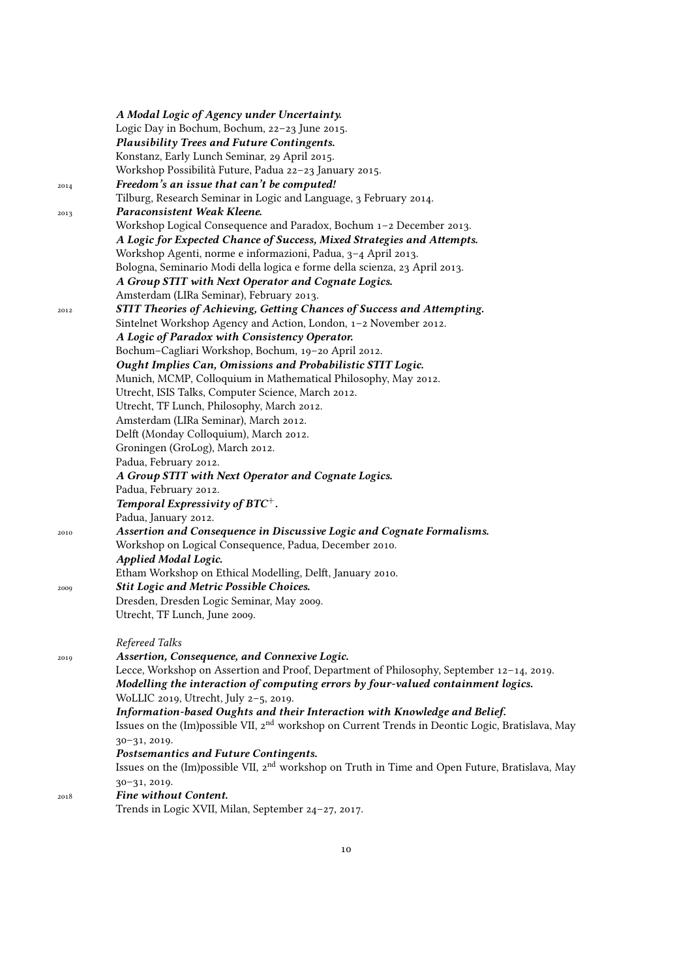|      | A Modal Logic of Agency under Uncertainty.                                                                   |
|------|--------------------------------------------------------------------------------------------------------------|
|      | Logic Day in Bochum, Bochum, 22-23 June 2015.                                                                |
|      | Plausibility Trees and Future Contingents.                                                                   |
|      | Konstanz, Early Lunch Seminar, 29 April 2015.                                                                |
|      | Workshop Possibilità Future, Padua 22-23 January 2015.                                                       |
| 2014 | Freedom's an issue that can't be computed!                                                                   |
|      | Tilburg, Research Seminar in Logic and Language, 3 February 2014.                                            |
| 2013 | Paraconsistent Weak Kleene.                                                                                  |
|      | Workshop Logical Consequence and Paradox, Bochum 1-2 December 2013.                                          |
|      | A Logic for Expected Chance of Success, Mixed Strategies and Attempts.                                       |
|      | Workshop Agenti, norme e informazioni, Padua, 3-4 April 2013.                                                |
|      | Bologna, Seminario Modi della logica e forme della scienza, 23 April 2013.                                   |
|      | A Group STIT with Next Operator and Cognate Logics.                                                          |
|      | Amsterdam (LIRa Seminar), February 2013.                                                                     |
| 2012 | STIT Theories of Achieving, Getting Chances of Success and Attempting.                                       |
|      | Sintelnet Workshop Agency and Action, London, 1-2 November 2012.                                             |
|      | A Logic of Paradox with Consistency Operator.                                                                |
|      | Bochum-Cagliari Workshop, Bochum, 19-20 April 2012.                                                          |
|      | Ought Implies Can, Omissions and Probabilistic STIT Logic.                                                   |
|      | Munich, MCMP, Colloquium in Mathematical Philosophy, May 2012.                                               |
|      | Utrecht, ISIS Talks, Computer Science, March 2012.                                                           |
|      | Utrecht, TF Lunch, Philosophy, March 2012.                                                                   |
|      | Amsterdam (LIRa Seminar), March 2012.                                                                        |
|      | Delft (Monday Colloquium), March 2012.                                                                       |
|      | Groningen (GroLog), March 2012.                                                                              |
|      | Padua, February 2012.                                                                                        |
|      | A Group STIT with Next Operator and Cognate Logics.                                                          |
|      | Padua, February 2012.                                                                                        |
|      | Temporal Expressivity of $BTC^+$ .                                                                           |
|      | Padua, January 2012.                                                                                         |
| 2010 | Assertion and Consequence in Discussive Logic and Cognate Formalisms.                                        |
|      | Workshop on Logical Consequence, Padua, December 2010.                                                       |
|      | <b>Applied Modal Logic.</b>                                                                                  |
|      | Etham Workshop on Ethical Modelling, Delft, January 2010.                                                    |
| 2009 | <b>Stit Logic and Metric Possible Choices.</b>                                                               |
|      | Dresden, Dresden Logic Seminar, May 2009.                                                                    |
|      | Utrecht, TF Lunch, June 2009.                                                                                |
|      | Refereed Talks                                                                                               |
| 2019 | Assertion, Consequence, and Connexive Logic.                                                                 |
|      | Lecce, Workshop on Assertion and Proof, Department of Philosophy, September 12-14, 2019.                     |
|      | Modelling the interaction of computing errors by four-valued containment logics.                             |
|      | WoLLIC 2019, Utrecht, July 2-5, 2019.                                                                        |
|      | Information-based Oughts and their Interaction with Knowledge and Belief.                                    |
|      | Issues on the (Im)possible VII, 2 <sup>nd</sup> workshop on Current Trends in Deontic Logic, Bratislava, May |
|      | 30-31, 2019.                                                                                                 |
|      | Postsemantics and Future Contingents.                                                                        |
|      | Issues on the (Im)possible VII, 2 <sup>nd</sup> workshop on Truth in Time and Open Future, Bratislava, May   |
|      | 30-31, 2019.                                                                                                 |
| 2018 | Fine without Content.                                                                                        |
|      | Trends in Logic XVII, Milan, September 24-27, 2017.                                                          |
|      |                                                                                                              |